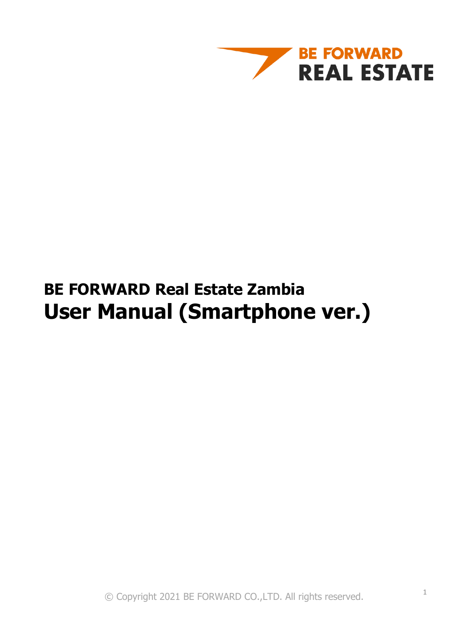

## **BE FORWARD Real Estate Zambia User Manual (Smartphone ver.)**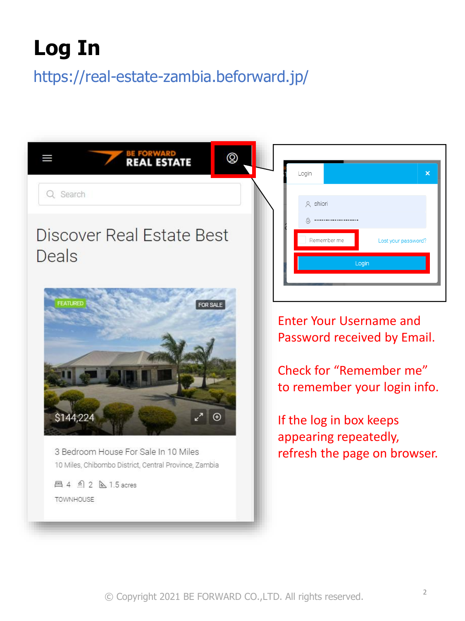# **Log In**

## https://real-estate-zambia.beforward.jp/

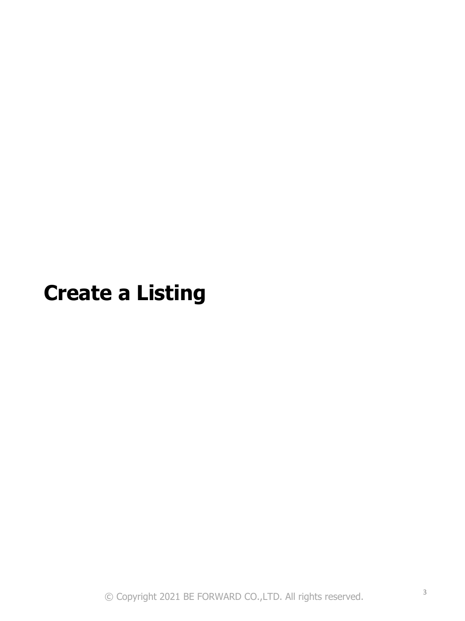# **Create a Listing**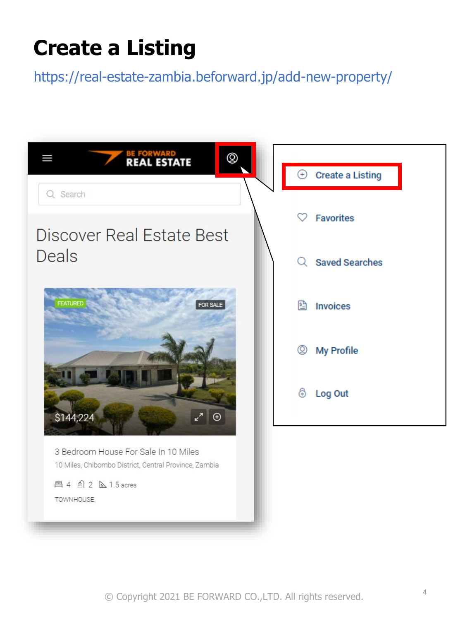# **Create a Listing**

https://real-estate-zambia.beforward.jp/add-new-property/

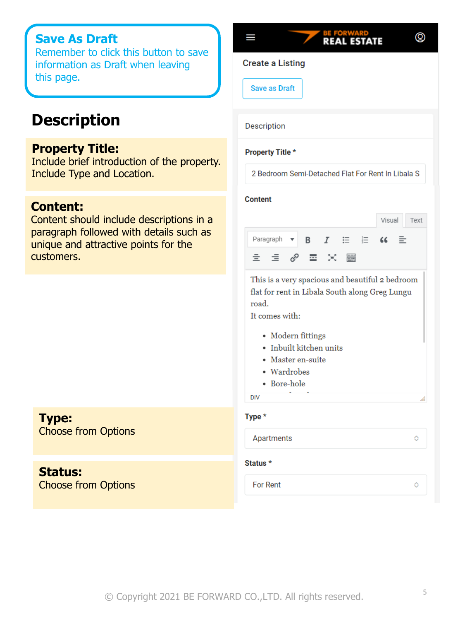### **Save As Draft**

Remember to click this button to save information as Draft when leaving this page.

## **Description**

### **Property Title:**

Include brief introduction of the property. Include Type and Location.

#### **Content:**

Content should include descriptions in a paragraph followed with details such as unique and attractive points for the customers.

### **Type:**

Choose from Options

#### **Status:**  Choose from Options

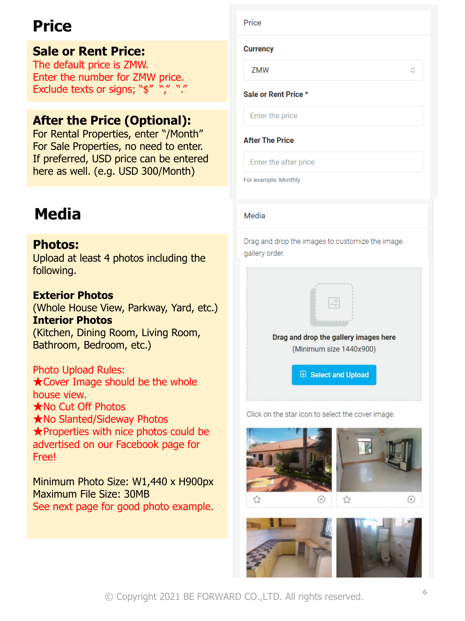## **Price**

## **Sale or Rent Price:**

The default price is ZMW. Enter the number for ZMW price. Exclude texts or signs; "\$" "," ","

## **After the Price (Optional):**

For Rental Properties, enter "/Month" For Sale Properties, no need to enter. If preferred, USD price can be entered here as well. (e.g. USD 300/Month)

## **Media**

### **Photos:**

Upload at least 4 photos including the following.

### **Exterior Photos**

(Whole House View, Parkway, Yard, etc.) **Interior Photos** (Kitchen, Dining Room, Living Room, Bathroom, Bedroom, etc.)

Photo Upload Rules: **★Cover Image should be the whole** house view. ★No Cut Off Photos ★No Slanted/Sideway Photos ★Properties with nice photos could be advertised on our Facebook page for Free!

Minimum Photo Size: W1,440 x H900px Maximum File Size: 30MB See next page for good photo example.

Price

#### **Currency**

ZMW

#### Sale or Rent Price \*

Enter the price

#### **After The Price**

Enter the after price

For example: Monthly

#### Media

Drag and drop the images to customize the image gallery order.



Click on the star icon to select the cover image.





Ó

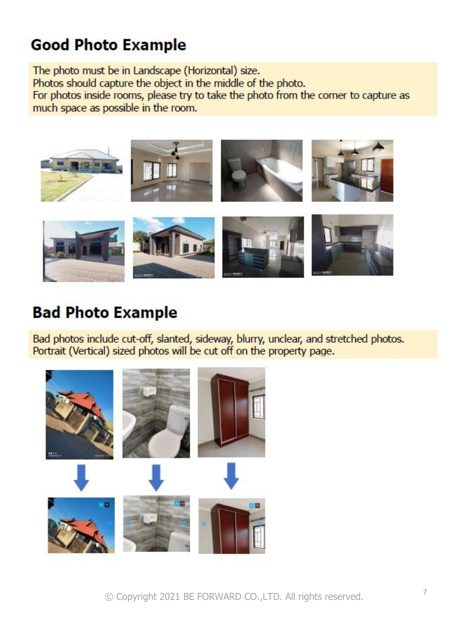## **Good Photo Example**

The photo must be in Landscape (Horizontal) size. Photos should capture the object in the middle of the photo. For photos inside rooms, please try to take the photo from the corner to capture as much space as possible in the room.



## **Bad Photo Example**

Bad photos include cut-off, slanted, sideway, blurry, unclear, and stretched photos. Portrait (Vertical) sized photos will be cut off on the property page.

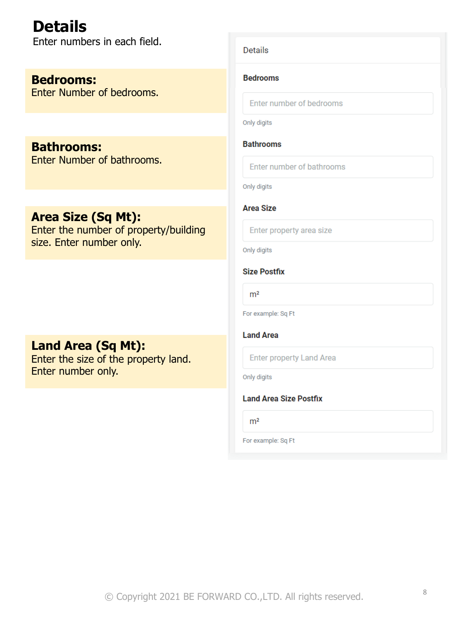**Details** Enter numbers in each field.

**Bedrooms:** Enter Number of bedrooms.

**Bathrooms:** Enter Number of bathrooms.

### **Area Size (Sq Mt):**

Enter the number of property/building size. Enter number only.

### **Land Area (Sq Mt):**

Enter the size of the property land. Enter number only.

#### **Details**

#### **Bedrooms**

Enter number of bedrooms

Only digits

#### **Bathrooms**

Enter number of bathrooms

Only digits

#### **Area Size**

Enter property area size

Only digits

#### **Size Postfix**

 $m<sup>2</sup>$ 

For example: Sq Ft

**Land Area** 

**Enter property Land Area** 

Only digits

#### **Land Area Size Postfix**

 $m<sup>2</sup>$ 

For example: Sq Ft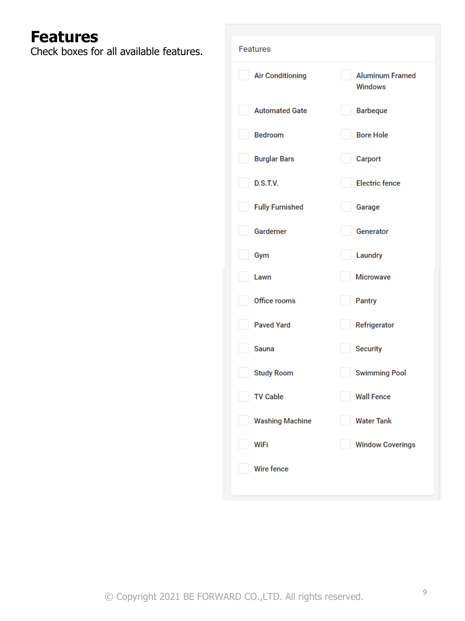## **Features**

Check boxes for all available features.

| Features                |                                          |
|-------------------------|------------------------------------------|
| <b>Air Conditioning</b> | <b>Aluminum Framed</b><br><b>Windows</b> |
| <b>Automated Gate</b>   | <b>Barbeque</b>                          |
| <b>Bedroom</b>          | <b>Bore Hole</b>                         |
| <b>Burglar Bars</b>     | Carport                                  |
| D.S.T.V.                | <b>Electric fence</b>                    |
| <b>Fully Furnished</b>  | Garage                                   |
| Garderner               | Generator                                |
| Gym                     | Laundry                                  |
| Lawn                    | <b>Microwave</b>                         |
| Office rooms            | <b>Pantry</b>                            |
| <b>Paved Yard</b>       | Refrigerator                             |
| Sauna                   | <b>Security</b>                          |
| <b>Study Room</b>       | <b>Swimming Pool</b>                     |
| <b>TV Cable</b>         | <b>Wall Fence</b>                        |
| <b>Washing Machine</b>  | <b>Water Tank</b>                        |
| WiFi                    | <b>Window Coverings</b>                  |
| Wire fence              |                                          |
|                         |                                          |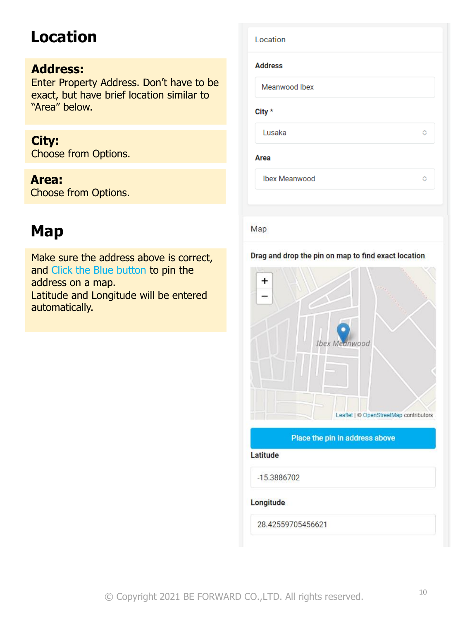## **Location**

### **Address:**

Enter Property Address. Don't have to exact, but have brief location similar to "Area" below.

### **City:**

Choose from Options.

## **Area:**

Choose from Options.

## **Map**

Make sure the address above is correct, and Click the Blue button to pin the address on a map. Latitude and Longitude will be entered automatically.

|         | Location             |   |
|---------|----------------------|---|
|         | <b>Address</b>       |   |
| be<br>١ | Meanwood Ibex        |   |
|         | City *               |   |
|         | Lusaka               | ♦ |
|         | Area                 |   |
|         | <b>Ibex Meanwood</b> | Ō |
|         |                      |   |

### Map

#### Drag and drop the pin on map to find exact location



#### Place the pin in address above

Latitude

-15.3886702

#### Longitude

28.42559705456621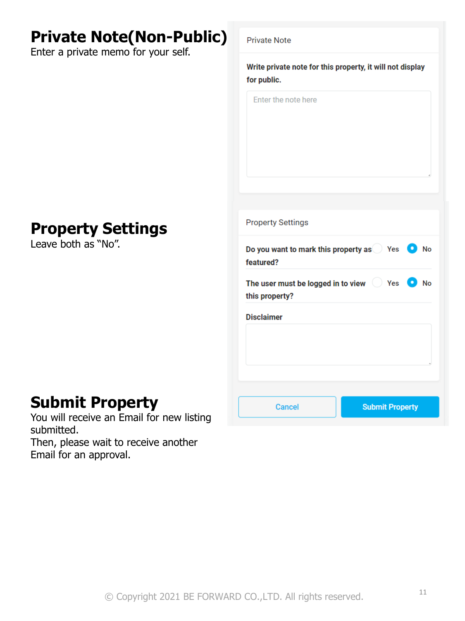## **Private Note(Non-Public)**

Enter a private memo for your self.

# Write private note for this property, it will not display for public. Enter the note here **Property Settings** Do you want to mark this property as Yes O No featured? The user must be logged in to view  $\bigcirc$  Yes  $\bigcirc$  No this property? **Disclaimer Submit Property Cancel**

**Private Note** 

### **Property Settings** Leave both as "No".

## **Submit Property**

You will receive an Email for new listing submitted.

Then, please wait to receive another Email for an approval.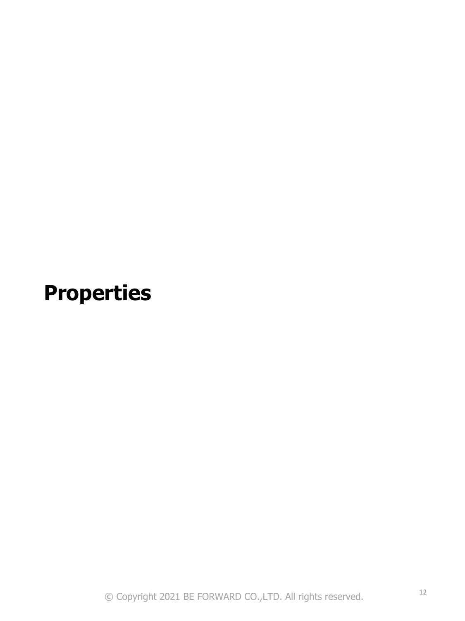# **Properties**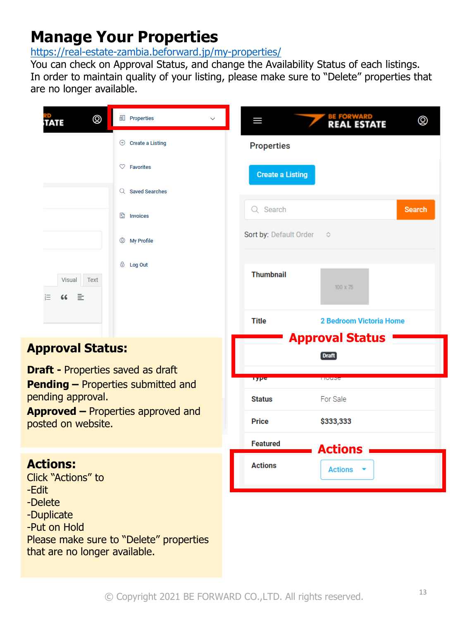## **Manage Your Properties**

<https://real-estate-zambia.beforward.jp/my-properties/>

You can check on Approval Status, and change the Availability Status of each listings. In order to maintain quality of your listing, please make sure to "Delete" properties that are no longer available.

|                                                                                | $^{\circledR}$<br>TATE                | ill Properties            | Ш                               | ◎<br><b>REAL ESTATE</b>                |
|--------------------------------------------------------------------------------|---------------------------------------|---------------------------|---------------------------------|----------------------------------------|
|                                                                                |                                       | $\oplus$ Create a Listing | <b>Properties</b>               |                                        |
|                                                                                |                                       | $\heartsuit$ Favorites    | <b>Create a Listing</b>         |                                        |
|                                                                                |                                       | Q Saved Searches          |                                 |                                        |
|                                                                                |                                       | <sup>1</sup> Invoices     | Q Search                        | <b>Search</b>                          |
|                                                                                |                                       | <sup>②</sup> My Profile   | Sort by: Default Order          | ♦                                      |
|                                                                                | Visual Text<br>įΞ<br>66<br>≡          | 6 Log Out                 | <b>Thumbnail</b>                | $100 \times 75$                        |
|                                                                                |                                       |                           | <b>Title</b>                    | 2 Bedroom Victoria Home                |
|                                                                                | <b>Approval Status:</b>               |                           |                                 | <b>Approval Status</b><br><b>Draft</b> |
| <b>Draft - Properties saved as draft</b><br>Pending - Properties submitted and |                                       | rype                      | <b>TIUUSC</b>                   |                                        |
| pending approval.<br><b>Approved - Properties approved and</b>                 |                                       | <b>Status</b>             | For Sale                        |                                        |
|                                                                                | posted on website.                    |                           | <b>Price</b><br><b>Featured</b> | \$333,333                              |
| -Edit                                                                          | <b>Actions:</b><br>Click "Actions" to |                           | <b>Actions</b>                  | <b>Actions</b><br><b>Actions</b>       |

- -Delete
- -Duplicate

-Put on Hold Please make sure to "Delete" properties that are no longer available.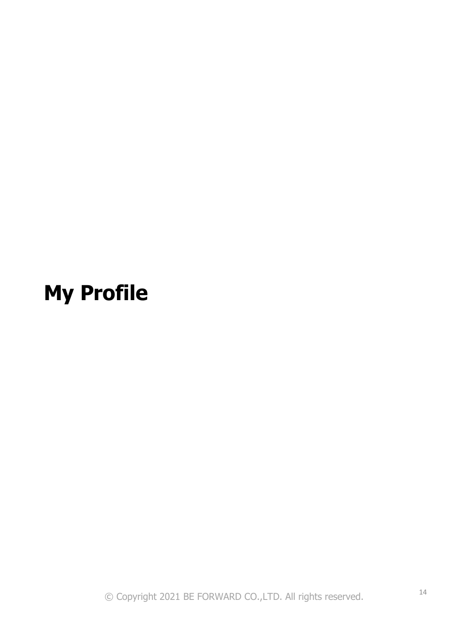# **My Profile**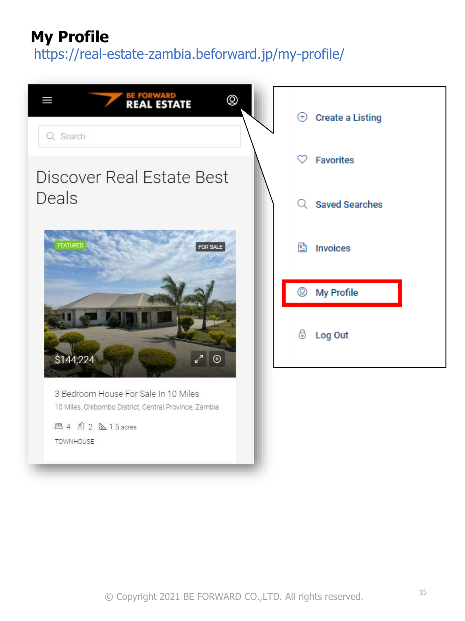## **My Profile**

https://real-estate-zambia.beforward.jp/my-profile/

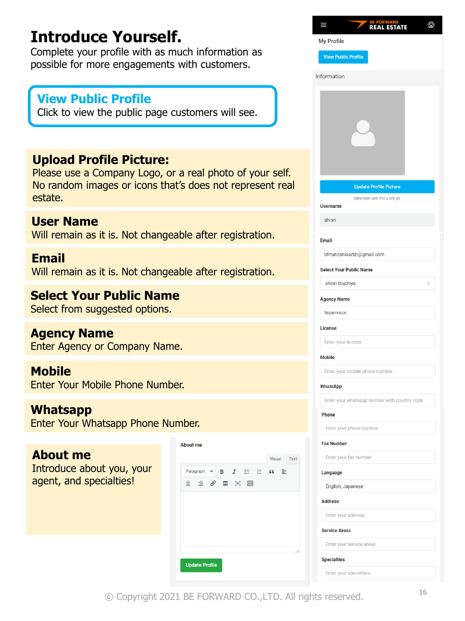## **Introduce Yourself.**

Complete your profile with as much information as possible for more engagements with customers.

### **View Public Profile**

Click to view the public page customers will see.

### **Upload Profile Picture:**

Please use a Company Logo, or a real photo of your self. No random images or icons that's does not represent real estate.

### **User Name**

Will remain as it is. Not changeable after registration.

### **Email**

Will remain as it is. Not changeable after registration.

### **Select Your Public Name**

Select from suggested options.

### **Agency Name**

Enter Agency or Company Name.

### **Mobile**

Enter Your Mobile Phone Number.

### **Whatsapp**

Enter Your Whatsapp Phone Number.

### **About me**

Introduce about you, your agent, and specialties!

| <b>About me</b>                                        |                       |
|--------------------------------------------------------|-----------------------|
|                                                        | Visual<br><b>Text</b> |
| Paragraph ▼ B <i>I</i> 三 三 << 三                        |                       |
| $\equiv$ $\equiv$ $\mathscr{O}$ $\equiv$ $\times$<br>H |                       |
|                                                        |                       |
|                                                        |                       |
|                                                        |                       |
|                                                        |                       |
|                                                        | Æ                     |
|                                                        |                       |
| <b>Update Profile</b>                                  |                       |

|                            | BE FORWARD<br><b>REAL ESTATE</b><br><b>Alternative</b><br>٠ | ◎ |
|----------------------------|-------------------------------------------------------------|---|
| <b>My Profile</b>          |                                                             |   |
| <b>View Public Profile</b> |                                                             |   |
| Information                |                                                             |   |
|                            |                                                             |   |
|                            |                                                             |   |
|                            |                                                             |   |
|                            |                                                             |   |
|                            |                                                             |   |
|                            |                                                             |   |
|                            |                                                             |   |
|                            | <b>Update Profile Picture</b>                               |   |
| <b>Username</b>            | Minimum size 300 x 300 px                                   |   |
| shiori                     |                                                             |   |
|                            |                                                             |   |
| <b>Email</b>               |                                                             |   |
|                            | bfrtanzaniaazizi@gmail.com                                  |   |
|                            | <b>Select Your Public Name</b>                              |   |
| shiori tsuchiya            |                                                             | ≎ |
| <b>Agency Name</b>         |                                                             |   |
| Supervisor                 |                                                             |   |
| License                    |                                                             |   |
| Enter your license         |                                                             |   |
| <b>Mobile</b>              |                                                             |   |
|                            | Enter your mobile phone number                              |   |
| <b>WhatsApp</b>            |                                                             |   |
|                            | Enter your whatsapp number with country code                |   |
| Phone                      |                                                             |   |
|                            | Enter your phone number                                     |   |
| <b>Fax Number</b>          |                                                             |   |
|                            | Enter your fax number                                       |   |
| Language                   |                                                             |   |
| English, Japanese          |                                                             |   |
| <b>Address</b>             |                                                             |   |
| Enter your address         |                                                             |   |
| <b>Service Areas</b>       |                                                             |   |
|                            | Enter your service areas                                    |   |
| <b>Specialties</b>         |                                                             |   |

© Copyright 2021 BE FORWARD CO.,LTD. All rights reserved.